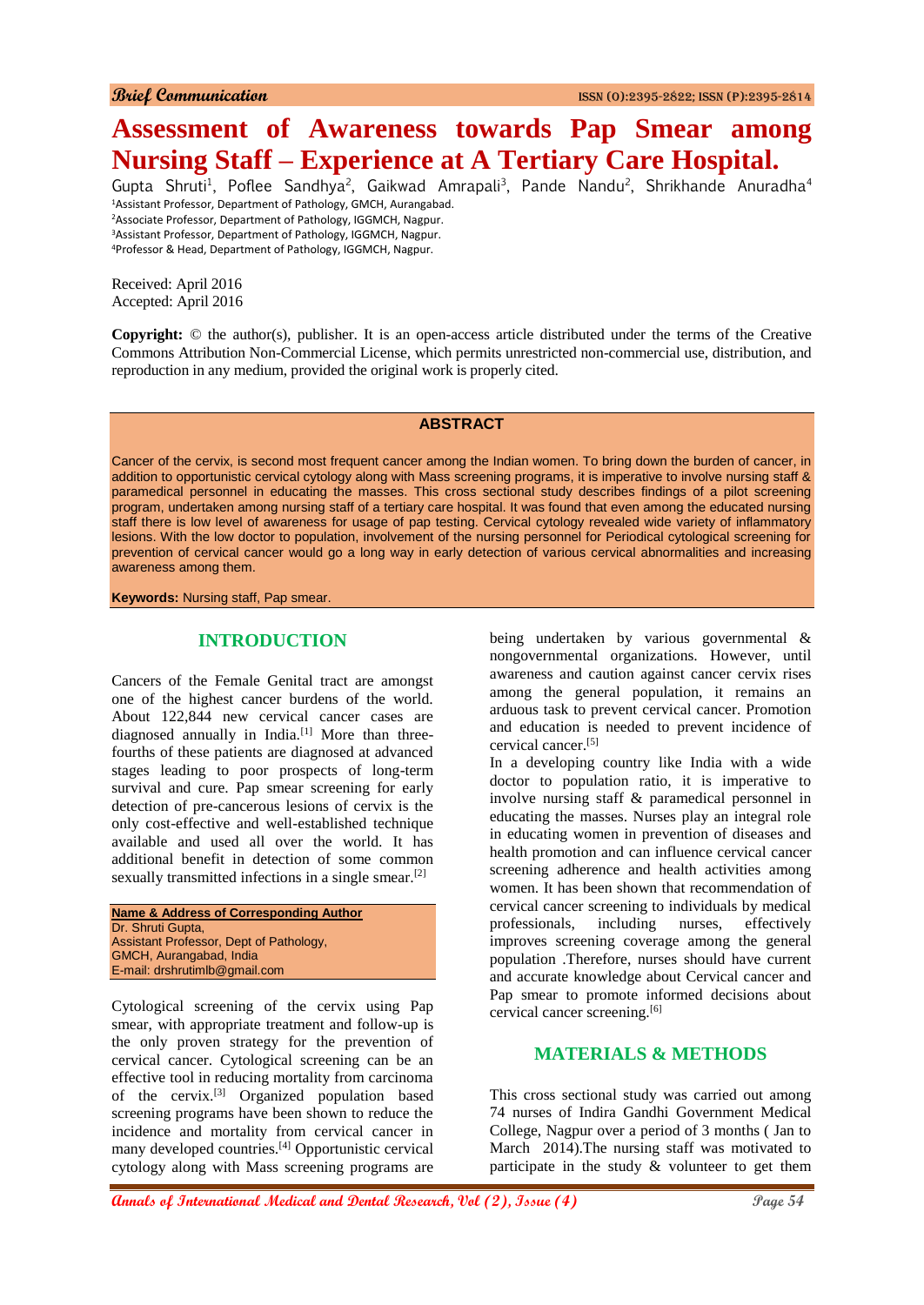# **Assessment of Awareness towards Pap Smear among Nursing Staff – Experience at A Tertiary Care Hospital.**

Gupta Shruti<sup>1</sup>, Poflee Sandhya<sup>2</sup>, Gaikwad Amrapali<sup>3</sup>, Pande Nandu<sup>2</sup>, Shrikhande Anuradha<sup>4</sup> Assistant Professor, Department of Pathology, GMCH, Aurangabad. Associate Professor, Department of Pathology, IGGMCH, Nagpur. Assistant Professor, Department of Pathology, IGGMCH, Nagpur. Professor & Head, Department of Pathology, IGGMCH, Nagpur.

Received: April 2016 Accepted: April 2016

**Copyright:** © the author(s), publisher. It is an open-access article distributed under the terms of the Creative Commons Attribution Non-Commercial License, which permits unrestricted non-commercial use, distribution, and reproduction in any medium, provided the original work is properly cited.

#### **ABSTRACT**

Cancer of the cervix, is second most frequent cancer among the Indian women. To bring down the burden of cancer, in addition to opportunistic cervical cytology along with Mass screening programs, it is imperative to involve nursing staff & paramedical personnel in educating the masses. This cross sectional study describes findings of a pilot screening program, undertaken among nursing staff of a tertiary care hospital. It was found that even among the educated nursing staff there is low level of awareness for usage of pap testing. Cervical cytology revealed wide variety of inflammatory lesions. With the low doctor to population, involvement of the nursing personnel for Periodical cytological screening for prevention of cervical cancer would go a long way in early detection of various cervical abnormalities and increasing awareness among them.

**Keywords:** Nursing staff, Pap smear.

## **INTRODUCTION**

Cancers of the Female Genital tract are amongst one of the highest cancer burdens of the world. About 122,844 new cervical cancer cases are diagnosed annually in India.<sup>[1]</sup> More than threefourths of these patients are diagnosed at advanced stages leading to poor prospects of long-term survival and cure. Pap smear screening for early detection of pre-cancerous lesions of cervix is the only cost-effective and well-established technique available and used all over the world. It has additional benefit in detection of some common sexually transmitted infections in a single smear.<sup>[2]</sup>

| <b>Name &amp; Address of Corresponding Author</b> |
|---------------------------------------------------|
| Dr. Shruti Gupta,                                 |
| Assistant Professor, Dept of Pathology,           |
| GMCH, Aurangabad, India                           |
| E-mail: drshrutimlb@gmail.com                     |
|                                                   |

Cytological screening of the cervix using Pap smear, with appropriate treatment and follow-up is the only proven strategy for the prevention of cervical cancer. Cytological screening can be an effective tool in reducing mortality from carcinoma of the cervix.[3] Organized population based screening programs have been shown to reduce the incidence and mortality from cervical cancer in many developed countries.[4] Opportunistic cervical cytology along with Mass screening programs are

being undertaken by various governmental & nongovernmental organizations. However, until awareness and caution against cancer cervix rises among the general population, it remains an arduous task to prevent cervical cancer. Promotion and education is needed to prevent incidence of cervical cancer.[5]

In a developing country like India with a wide doctor to population ratio, it is imperative to involve nursing staff & paramedical personnel in educating the masses. Nurses play an integral role in educating women in prevention of diseases and health promotion and can influence cervical cancer screening adherence and health activities among women. It has been shown that recommendation of cervical cancer screening to individuals by medical professionals, including nurses, effectively improves screening coverage among the general population .Therefore, nurses should have current and accurate knowledge about Cervical cancer and Pap smear to promote informed decisions about cervical cancer screening.[6]

## **MATERIALS & METHODS**

This cross sectional study was carried out among 74 nurses of Indira Gandhi Government Medical College, Nagpur over a period of 3 months ( Jan to March 2014).The nursing staff was motivated to participate in the study & volunteer to get them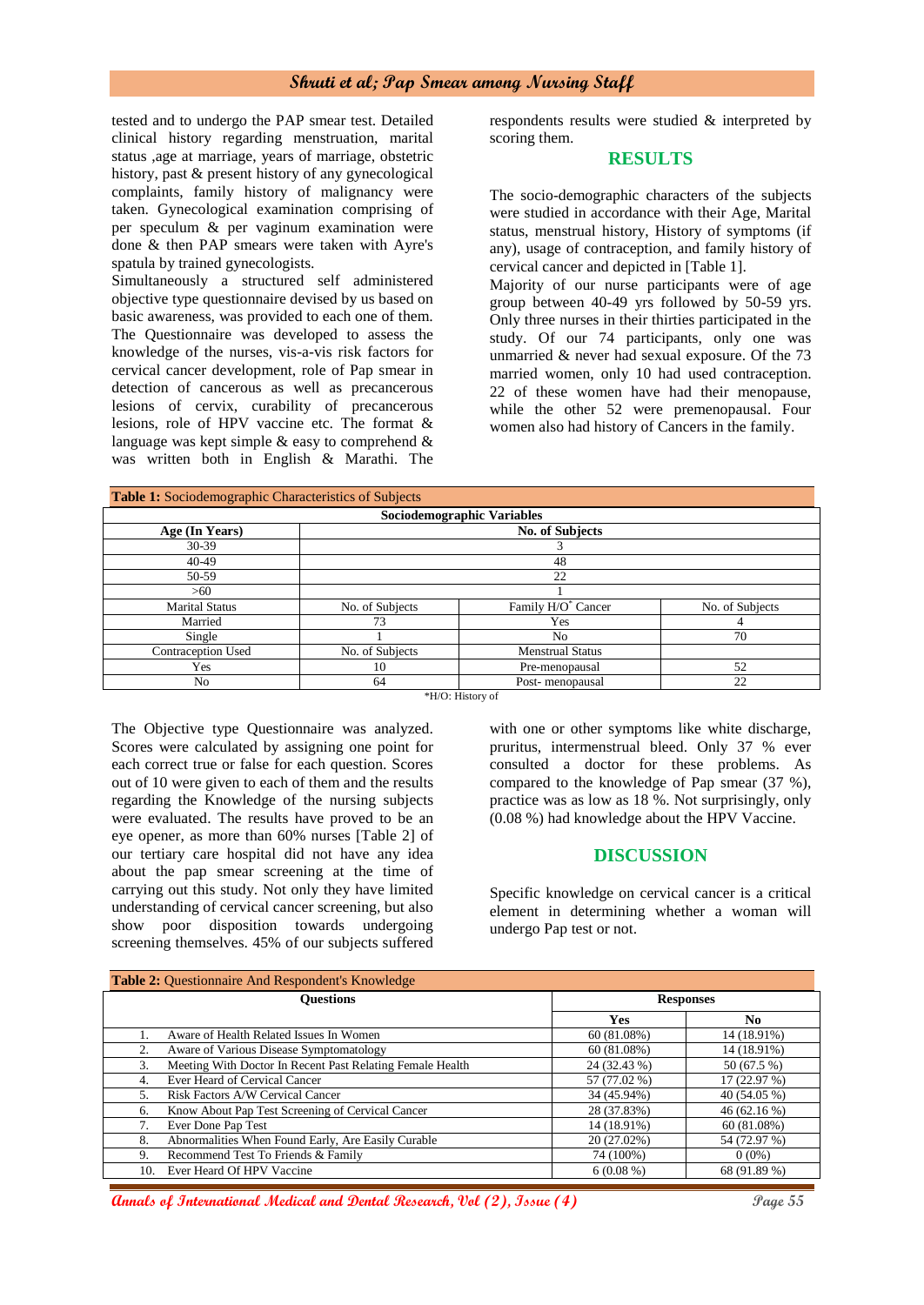## **Shruti et al; Pap Smear among Nursing Staff**

tested and to undergo the PAP smear test. Detailed clinical history regarding menstruation, marital status ,age at marriage, years of marriage, obstetric history, past & present history of any gynecological complaints, family history of malignancy were taken. Gynecological examination comprising of per speculum & per vaginum examination were done & then PAP smears were taken with Ayre's spatula by trained gynecologists.

Simultaneously a structured self administered objective type questionnaire devised by us based on basic awareness, was provided to each one of them. The Questionnaire was developed to assess the knowledge of the nurses, vis-a-vis risk factors for cervical cancer development, role of Pap smear in detection of cancerous as well as precancerous lesions of cervix, curability of precancerous lesions, role of HPV vaccine etc. The format & language was kept simple & easy to comprehend & was written both in English & Marathi. The

respondents results were studied & interpreted by scoring them.

#### **RESULTS**

The socio-demographic characters of the subjects were studied in accordance with their Age, Marital status, menstrual history, History of symptoms (if any), usage of contraception, and family history of cervical cancer and depicted in [Table 1].

Majority of our nurse participants were of age group between 40-49 yrs followed by 50-59 yrs. Only three nurses in their thirties participated in the study. Of our 74 participants, only one was unmarried & never had sexual exposure. Of the 73 married women, only 10 had used contraception. 22 of these women have had their menopause, while the other 52 were premenopausal. Four women also had history of Cancers in the family.

| Table 1: Sociodemographic Characteristics of Subjects |                        |                                |                 |  |  |
|-------------------------------------------------------|------------------------|--------------------------------|-----------------|--|--|
| Sociodemographic Variables                            |                        |                                |                 |  |  |
| Age (In Years)                                        | <b>No. of Subjects</b> |                                |                 |  |  |
| 30-39                                                 |                        |                                |                 |  |  |
| 40-49                                                 | 48                     |                                |                 |  |  |
| 50-59                                                 | 22                     |                                |                 |  |  |
| >60                                                   |                        |                                |                 |  |  |
| <b>Marital Status</b>                                 | No. of Subjects        | Family H/O <sup>*</sup> Cancer | No. of Subjects |  |  |
| Married                                               | 73                     | Yes                            | 4               |  |  |
| Single                                                |                        | N <sub>o</sub>                 | 70              |  |  |
| Contraception Used                                    | No. of Subjects        | <b>Menstrual Status</b>        |                 |  |  |
| Yes                                                   | 10                     | Pre-menopausal                 | 52              |  |  |
| No                                                    | 64                     | Post-menopausal                | 22              |  |  |

\*H/O: History of

The Objective type Questionnaire was analyzed. Scores were calculated by assigning one point for each correct true or false for each question. Scores out of 10 were given to each of them and the results regarding the Knowledge of the nursing subjects were evaluated. The results have proved to be an eye opener, as more than 60% nurses [Table 2] of our tertiary care hospital did not have any idea about the pap smear screening at the time of carrying out this study. Not only they have limited understanding of cervical cancer screening, but also show poor disposition towards undergoing screening themselves. 45% of our subjects suffered

with one or other symptoms like white discharge, pruritus, intermenstrual bleed. Only 37 % ever consulted a doctor for these problems. As compared to the knowledge of Pap smear (37 %), practice was as low as 18 %. Not surprisingly, only (0.08 %) had knowledge about the HPV Vaccine.

### **DISCUSSION**

Specific knowledge on cervical cancer is a critical element in determining whether a woman will undergo Pap test or not.

| Table 2: Questionnaire And Respondent's Knowledge |                                                           |                  |              |  |
|---------------------------------------------------|-----------------------------------------------------------|------------------|--------------|--|
|                                                   | <b>Ouestions</b>                                          | <b>Responses</b> |              |  |
|                                                   |                                                           | <b>Yes</b>       | No.          |  |
|                                                   | Aware of Health Related Issues In Women                   | 60(81.08%)       | 14 (18.91%)  |  |
| 2.                                                | Aware of Various Disease Symptomatology                   | 60(81.08%)       | 14 (18.91%)  |  |
| 3.                                                | Meeting With Doctor In Recent Past Relating Female Health | 24 (32.43 %)     | 50 (67.5 %)  |  |
| 4.                                                | Ever Heard of Cervical Cancer                             | 57 (77.02 %)     | 17 (22.97 %) |  |
| 5.                                                | Risk Factors A/W Cervical Cancer                          | 34 (45.94%)      | 40 (54.05 %) |  |
| 6.                                                | Know About Pap Test Screening of Cervical Cancer          | 28 (37.83%)      | 46 (62.16 %) |  |
| 7.                                                | Ever Done Pap Test                                        | 14 (18.91%)      | 60(81.08%)   |  |
| 8.                                                | Abnormalities When Found Early, Are Easily Curable        | 20 (27.02%)      | 54 (72.97 %) |  |
| 9.                                                | Recommend Test To Friends & Family                        | 74 (100%)        | $0(0\%)$     |  |
| 10.                                               | Ever Heard Of HPV Vaccine                                 | $6(0.08\%)$      | 68 (91.89 %) |  |

**Annals of International Medical and Dental Research, Vol (2), Issue (4) Page 55**